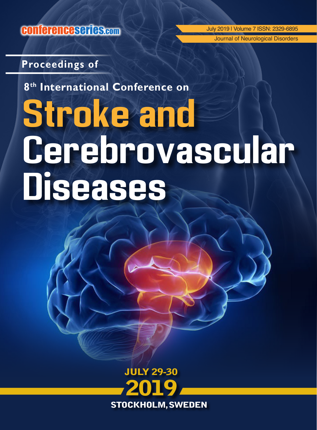conferenceseries.com

July 2019 | Volume 7 ISSN: 2329-6895 Journal of Neurological Disorders

## **Proceedings of**

**8th International Conference on**

# **Stroke and Cerebrovascular Diseases**

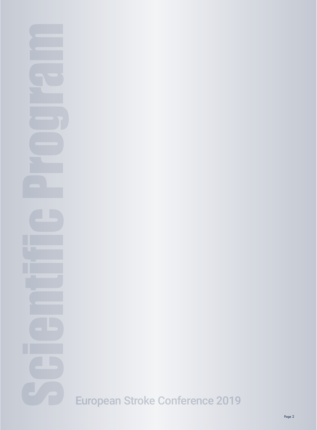# Scientific Program European Stroke Conference 2019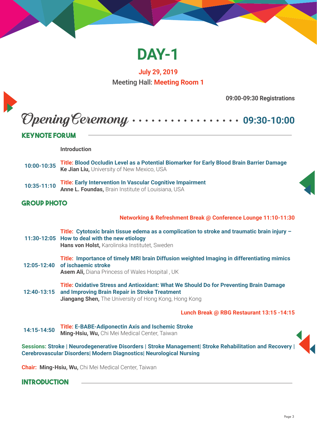

**July 29, 2019** Meeting Hall: **Meeting Room 1**

**09:00-09:30 Registrations**

Opening Ceremony **09:30-10:00**

### **Keynote Forum**

**Introduction**

- **10:00-10:35 Title: Blood Occludin Level as a Potential Biomarker for Early Blood Brain Barrier Damage Ke Jian Liu,** University of New Mexico, USA
- **10:35-11:10 Title: Early Intervention In Vascular Cognitive Impairment Anne L. Foundas,** Brain Institute of Louisiana, USA

### **GROUP PHOTO**

**Networking & Refreshment Break @ Conference Lounge 11:10-11:30**

- **11:30-12:05 How to deal with the new etiology Title: Cytotoxic brain tissue edema as a complication to stroke and traumatic brain injury – Hans von Holst,** Karolinska Institutet, Sweden
- **12:05-12:40 of ischaemic stroke Title: Importance of timely MRI brain Diffusion weighted Imaging in differentiating mimics Asem Ali,** Diana Princess of Wales Hospital , UK

**12:40-13:15 and Improving Brain Repair in Stroke Treatment Title: Oxidative Stress and Antioxidant: What We Should Do for Preventing Brain Damage Jiangang Shen,** The University of Hong Kong, Hong Kong

**Lunch Break @ RBG Restaurant 13:15 -14:15**

**14:15-14:50 Title: E-BABE-Adiponectin Axis and Ischemic Stroke Ming-Hsiu, Wu,** Chi Mei Medical Center, Taiwan

**Sessions: Stroke | Neurodegenerative Disorders | Stroke Management| Stroke Rehabilitation and Recovery | Cerebrovascular Disorders| Modern Diagnostics| Neurological Nursing** 

**Chair: Ming-Hsiu, Wu,** Chi Mei Medical Center, Taiwan

### **Introduction**